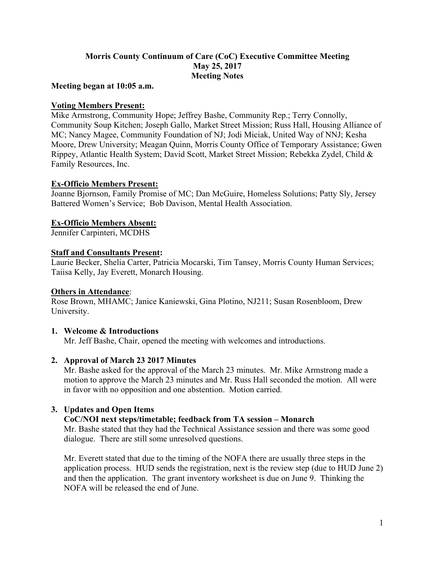# **Morris County Continuum of Care (CoC) Executive Committee Meeting May 25, 2017 Meeting Notes**

#### **Meeting began at 10:05 a.m.**

## **Voting Members Present:**

Mike Armstrong, Community Hope; Jeffrey Bashe, Community Rep.; Terry Connolly, Community Soup Kitchen; Joseph Gallo, Market Street Mission; Russ Hall, Housing Alliance of MC; Nancy Magee, Community Foundation of NJ; Jodi Miciak, United Way of NNJ; Kesha Moore, Drew University; Meagan Quinn, Morris County Office of Temporary Assistance; Gwen Rippey, Atlantic Health System; David Scott, Market Street Mission; Rebekka Zydel, Child & Family Resources, Inc.

## **Ex-Officio Members Present:**

Joanne Bjornson, Family Promise of MC; Dan McGuire, Homeless Solutions; Patty Sly, Jersey Battered Women's Service; Bob Davison, Mental Health Association.

## **Ex-Officio Members Absent:**

Jennifer Carpinteri, MCDHS

# **Staff and Consultants Present:**

Laurie Becker, Shelia Carter, Patricia Mocarski, Tim Tansey, Morris County Human Services; Taiisa Kelly, Jay Everett, Monarch Housing.

#### **Others in Attendance**:

Rose Brown, MHAMC; Janice Kaniewski, Gina Plotino, NJ211; Susan Rosenbloom, Drew University.

#### **1. Welcome & Introductions**

Mr. Jeff Bashe, Chair, opened the meeting with welcomes and introductions.

#### **2. Approval of March 23 2017 Minutes**

Mr. Bashe asked for the approval of the March 23 minutes. Mr. Mike Armstrong made a motion to approve the March 23 minutes and Mr. Russ Hall seconded the motion. All were in favor with no opposition and one abstention. Motion carried.

# **3. Updates and Open Items**

#### **CoC/NOI next steps/timetable; feedback from TA session – Monarch**

Mr. Bashe stated that they had the Technical Assistance session and there was some good dialogue. There are still some unresolved questions.

Mr. Everett stated that due to the timing of the NOFA there are usually three steps in the application process. HUD sends the registration, next is the review step (due to HUD June 2) and then the application. The grant inventory worksheet is due on June 9. Thinking the NOFA will be released the end of June.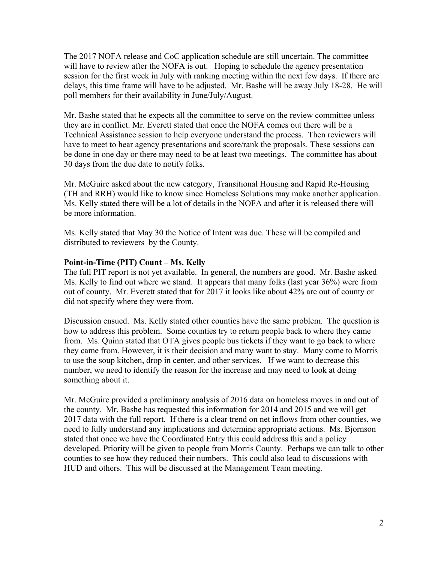The 2017 NOFA release and CoC application schedule are still uncertain. The committee will have to review after the NOFA is out. Hoping to schedule the agency presentation session for the first week in July with ranking meeting within the next few days. If there are delays, this time frame will have to be adjusted. Mr. Bashe will be away July 18-28. He will poll members for their availability in June/July/August.

Mr. Bashe stated that he expects all the committee to serve on the review committee unless they are in conflict. Mr. Everett stated that once the NOFA comes out there will be a Technical Assistance session to help everyone understand the process. Then reviewers will have to meet to hear agency presentations and score/rank the proposals. These sessions can be done in one day or there may need to be at least two meetings. The committee has about 30 days from the due date to notify folks.

Mr. McGuire asked about the new category, Transitional Housing and Rapid Re-Housing (TH and RRH) would like to know since Homeless Solutions may make another application. Ms. Kelly stated there will be a lot of details in the NOFA and after it is released there will be more information.

Ms. Kelly stated that May 30 the Notice of Intent was due. These will be compiled and distributed to reviewers by the County.

## **Point-in-Time (PIT) Count – Ms. Kelly**

The full PIT report is not yet available. In general, the numbers are good. Mr. Bashe asked Ms. Kelly to find out where we stand. It appears that many folks (last year 36%) were from out of county. Mr. Everett stated that for 2017 it looks like about 42% are out of county or did not specify where they were from.

Discussion ensued. Ms. Kelly stated other counties have the same problem. The question is how to address this problem. Some counties try to return people back to where they came from. Ms. Quinn stated that OTA gives people bus tickets if they want to go back to where they came from. However, it is their decision and many want to stay. Many come to Morris to use the soup kitchen, drop in center, and other services. If we want to decrease this number, we need to identify the reason for the increase and may need to look at doing something about it.

Mr. McGuire provided a preliminary analysis of 2016 data on homeless moves in and out of the county. Mr. Bashe has requested this information for 2014 and 2015 and we will get 2017 data with the full report. If there is a clear trend on net inflows from other counties, we need to fully understand any implications and determine appropriate actions. Ms. Bjornson stated that once we have the Coordinated Entry this could address this and a policy developed. Priority will be given to people from Morris County. Perhaps we can talk to other counties to see how they reduced their numbers. This could also lead to discussions with HUD and others. This will be discussed at the Management Team meeting.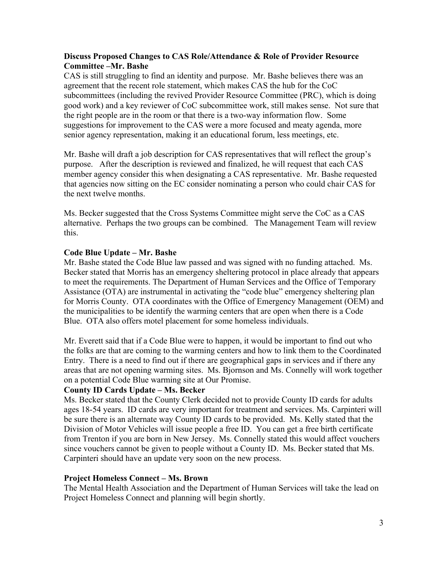## **Discuss Proposed Changes to CAS Role/Attendance & Role of Provider Resource Committee –Mr. Bashe**

CAS is still struggling to find an identity and purpose. Mr. Bashe believes there was an agreement that the recent role statement, which makes CAS the hub for the CoC subcommittees (including the revived Provider Resource Committee (PRC), which is doing good work) and a key reviewer of CoC subcommittee work, still makes sense. Not sure that the right people are in the room or that there is a two-way information flow. Some suggestions for improvement to the CAS were a more focused and meaty agenda, more senior agency representation, making it an educational forum, less meetings, etc.

Mr. Bashe will draft a job description for CAS representatives that will reflect the group's purpose. After the description is reviewed and finalized, he will request that each CAS member agency consider this when designating a CAS representative. Mr. Bashe requested that agencies now sitting on the EC consider nominating a person who could chair CAS for the next twelve months.

Ms. Becker suggested that the Cross Systems Committee might serve the CoC as a CAS alternative. Perhaps the two groups can be combined. The Management Team will review this.

## **Code Blue Update – Mr. Bashe**

Mr. Bashe stated the Code Blue law passed and was signed with no funding attached. Ms. Becker stated that Morris has an emergency sheltering protocol in place already that appears to meet the requirements. The Department of Human Services and the Office of Temporary Assistance (OTA) are instrumental in activating the "code blue" emergency sheltering plan for Morris County. OTA coordinates with the Office of Emergency Management (OEM) and the municipalities to be identify the warming centers that are open when there is a Code Blue. OTA also offers motel placement for some homeless individuals.

Mr. Everett said that if a Code Blue were to happen, it would be important to find out who the folks are that are coming to the warming centers and how to link them to the Coordinated Entry. There is a need to find out if there are geographical gaps in services and if there any areas that are not opening warming sites. Ms. Bjornson and Ms. Connelly will work together on a potential Code Blue warming site at Our Promise.

#### **County ID Cards Update – Ms. Becker**

Ms. Becker stated that the County Clerk decided not to provide County ID cards for adults ages 18-54 years. ID cards are very important for treatment and services. Ms. Carpinteri will be sure there is an alternate way County ID cards to be provided. Ms. Kelly stated that the Division of Motor Vehicles will issue people a free ID. You can get a free birth certificate from Trenton if you are born in New Jersey. Ms. Connelly stated this would affect vouchers since vouchers cannot be given to people without a County ID. Ms. Becker stated that Ms. Carpinteri should have an update very soon on the new process.

#### **Project Homeless Connect – Ms. Brown**

The Mental Health Association and the Department of Human Services will take the lead on Project Homeless Connect and planning will begin shortly.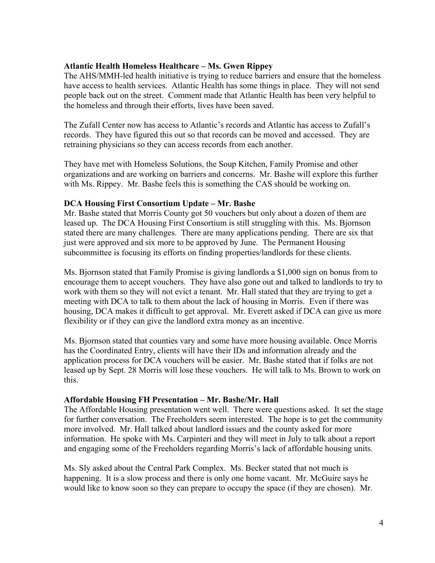## **Atlantic Health Homeless Healthcare – Ms. Gwen Rippey**

The AHS/MMH-led health initiative is trying to reduce barriers and ensure that the homeless have access to health services. Atlantic Health has some things in place. They will not send people back out on the street. Comment made that Atlantic Health has been very helpful to the homeless and through their efforts, lives have been saved.

The Zufall Center now has access to Atlantic's records and Atlantic has access to Zufall's records. They have figured this out so that records can be moved and accessed. They are retraining physicians so they can access records from each another.

They have met with Homeless Solutions, the Soup Kitchen, Family Promise and other organizations and are working on barriers and concerns. Mr. Bashe will explore this further with Ms. Rippey. Mr. Bashe feels this is something the CAS should be working on.

## **DCA Housing First Consortium Update – Mr. Bashe**

Mr. Bashe stated that Morris County got 50 vouchers but only about a dozen of them are leased up. The DCA Housing First Consortium is still struggling with this. Ms. Bjornson stated there are many challenges. There are many applications pending. There are six that just were approved and six more to be approved by June. The Permanent Housing subcommittee is focusing its efforts on finding properties/landlords for these clients.

Ms. Bjornson stated that Family Promise is giving landlords a \$1,000 sign on bonus from to encourage them to accept vouchers. They have also gone out and talked to landlords to try to work with them so they will not evict a tenant. Mr. Hall stated that they are trying to get a meeting with DCA to talk to them about the lack of housing in Morris. Even if there was housing, DCA makes it difficult to get approval. Mr. Everett asked if DCA can give us more flexibility or if they can give the landlord extra money as an incentive.

Ms. Bjornson stated that counties vary and some have more housing available. Once Morris has the Coordinated Entry, clients will have their IDs and information already and the application process for DCA vouchers will be easier. Mr. Bashe stated that if folks are not leased up by Sept. 28 Morris will lose these vouchers. He will talk to Ms. Brown to work on this.

# **Affordable Housing FH Presentation – Mr. Bashe/Mr. Hall**

The Affordable Housing presentation went well. There were questions asked. It set the stage for further conversation. The Freeholders seem interested. The hope is to get the community more involved. Mr. Hall talked about landlord issues and the county asked for more information. He spoke with Ms. Carpinteri and they will meet in July to talk about a report and engaging some of the Freeholders regarding Morris's lack of affordable housing units.

Ms. Sly asked about the Central Park Complex. Ms. Becker stated that not much is happening. It is a slow process and there is only one home vacant. Mr. McGuire says he would like to know soon so they can prepare to occupy the space (if they are chosen). Mr.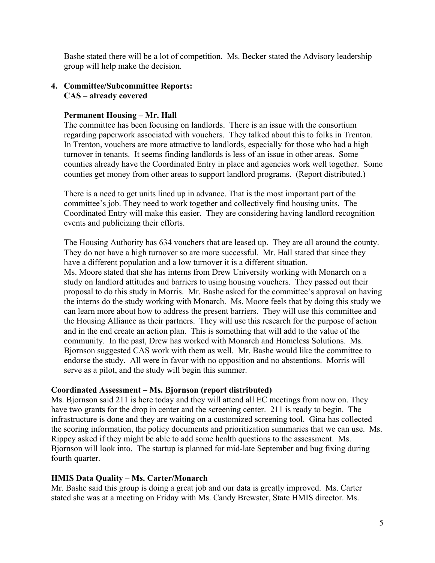Bashe stated there will be a lot of competition. Ms. Becker stated the Advisory leadership group will help make the decision.

## **4. Committee/Subcommittee Reports: CAS – already covered**

## **Permanent Housing – Mr. Hall**

The committee has been focusing on landlords. There is an issue with the consortium regarding paperwork associated with vouchers. They talked about this to folks in Trenton. In Trenton, vouchers are more attractive to landlords, especially for those who had a high turnover in tenants. It seems finding landlords is less of an issue in other areas. Some counties already have the Coordinated Entry in place and agencies work well together. Some counties get money from other areas to support landlord programs. (Report distributed.)

There is a need to get units lined up in advance. That is the most important part of the committee's job. They need to work together and collectively find housing units. The Coordinated Entry will make this easier. They are considering having landlord recognition events and publicizing their efforts.

The Housing Authority has 634 vouchers that are leased up. They are all around the county. They do not have a high turnover so are more successful. Mr. Hall stated that since they have a different population and a low turnover it is a different situation. Ms. Moore stated that she has interns from Drew University working with Monarch on a study on landlord attitudes and barriers to using housing vouchers. They passed out their proposal to do this study in Morris. Mr. Bashe asked for the committee's approval on having the interns do the study working with Monarch. Ms. Moore feels that by doing this study we can learn more about how to address the present barriers. They will use this committee and the Housing Alliance as their partners. They will use this research for the purpose of action and in the end create an action plan. This is something that will add to the value of the community. In the past, Drew has worked with Monarch and Homeless Solutions. Ms. Bjornson suggested CAS work with them as well. Mr. Bashe would like the committee to endorse the study. All were in favor with no opposition and no abstentions. Morris will serve as a pilot, and the study will begin this summer.

#### **Coordinated Assessment – Ms. Bjornson (report distributed)**

Ms. Bjornson said 211 is here today and they will attend all EC meetings from now on. They have two grants for the drop in center and the screening center. 211 is ready to begin. The infrastructure is done and they are waiting on a customized screening tool. Gina has collected the scoring information, the policy documents and prioritization summaries that we can use. Ms. Rippey asked if they might be able to add some health questions to the assessment. Ms. Bjornson will look into. The startup is planned for mid-late September and bug fixing during fourth quarter.

#### **HMIS Data Quality – Ms. Carter/Monarch**

Mr. Bashe said this group is doing a great job and our data is greatly improved. Ms. Carter stated she was at a meeting on Friday with Ms. Candy Brewster, State HMIS director. Ms.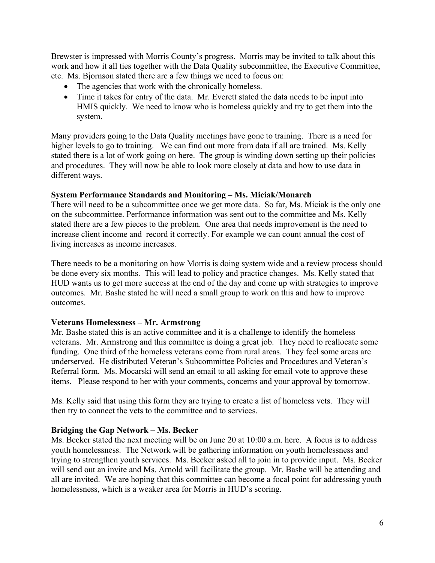Brewster is impressed with Morris County's progress. Morris may be invited to talk about this work and how it all ties together with the Data Quality subcommittee, the Executive Committee, etc. Ms. Bjornson stated there are a few things we need to focus on:

- The agencies that work with the chronically homeless.
- Time it takes for entry of the data. Mr. Everett stated the data needs to be input into HMIS quickly. We need to know who is homeless quickly and try to get them into the system.

Many providers going to the Data Quality meetings have gone to training. There is a need for higher levels to go to training. We can find out more from data if all are trained. Ms. Kelly stated there is a lot of work going on here. The group is winding down setting up their policies and procedures. They will now be able to look more closely at data and how to use data in different ways.

# **System Performance Standards and Monitoring – Ms. Miciak/Monarch**

There will need to be a subcommittee once we get more data. So far, Ms. Miciak is the only one on the subcommittee. Performance information was sent out to the committee and Ms. Kelly stated there are a few pieces to the problem. One area that needs improvement is the need to increase client income and record it correctly. For example we can count annual the cost of living increases as income increases.

There needs to be a monitoring on how Morris is doing system wide and a review process should be done every six months. This will lead to policy and practice changes. Ms. Kelly stated that HUD wants us to get more success at the end of the day and come up with strategies to improve outcomes. Mr. Bashe stated he will need a small group to work on this and how to improve outcomes.

# **Veterans Homelessness – Mr. Armstrong**

Mr. Bashe stated this is an active committee and it is a challenge to identify the homeless veterans. Mr. Armstrong and this committee is doing a great job. They need to reallocate some funding. One third of the homeless veterans come from rural areas. They feel some areas are underserved. He distributed Veteran's Subcommittee Policies and Procedures and Veteran's Referral form. Ms. Mocarski will send an email to all asking for email vote to approve these items. Please respond to her with your comments, concerns and your approval by tomorrow.

Ms. Kelly said that using this form they are trying to create a list of homeless vets. They will then try to connect the vets to the committee and to services.

# **Bridging the Gap Network – Ms. Becker**

Ms. Becker stated the next meeting will be on June 20 at 10:00 a.m. here. A focus is to address youth homelessness. The Network will be gathering information on youth homelessness and trying to strengthen youth services. Ms. Becker asked all to join in to provide input. Ms. Becker will send out an invite and Ms. Arnold will facilitate the group. Mr. Bashe will be attending and all are invited. We are hoping that this committee can become a focal point for addressing youth homelessness, which is a weaker area for Morris in HUD's scoring.